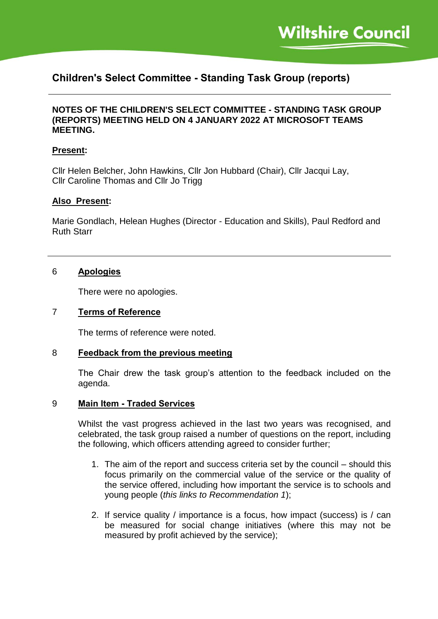# **Children's Select Committee - Standing Task Group (reports)**

# **NOTES OF THE CHILDREN'S SELECT COMMITTEE - STANDING TASK GROUP (REPORTS) MEETING HELD ON 4 JANUARY 2022 AT MICROSOFT TEAMS MEETING.**

#### **Present:**

Cllr Helen Belcher, John Hawkins, Cllr Jon Hubbard (Chair), Cllr Jacqui Lay, Cllr Caroline Thomas and Cllr Jo Trigg

#### **Also Present:**

Marie Gondlach, Helean Hughes (Director - Education and Skills), Paul Redford and Ruth Starr

## 6 **Apologies**

There were no apologies.

#### 7 **Terms of Reference**

The terms of reference were noted.

#### 8 **Feedback from the previous meeting**

The Chair drew the task group's attention to the feedback included on the agenda.

#### 9 **Main Item - Traded Services**

Whilst the vast progress achieved in the last two vears was recognised, and celebrated, the task group raised a number of questions on the report, including the following, which officers attending agreed to consider further;

- 1. The aim of the report and success criteria set by the council should this focus primarily on the commercial value of the service or the quality of the service offered, including how important the service is to schools and young people (*this links to Recommendation 1*);
- 2. If service quality / importance is a focus, how impact (success) is / can be measured for social change initiatives (where this may not be measured by profit achieved by the service);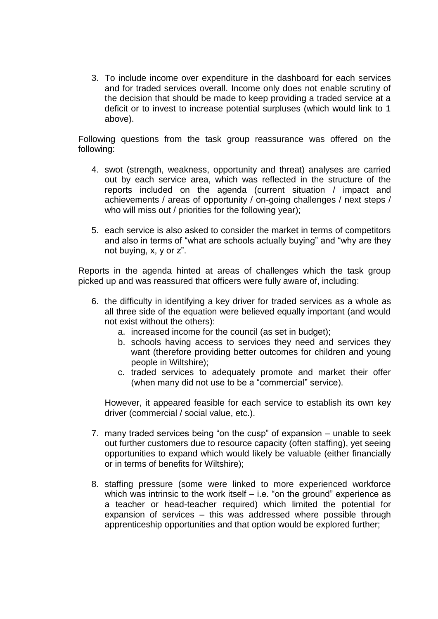3. To include income over expenditure in the dashboard for each services and for traded services overall. Income only does not enable scrutiny of the decision that should be made to keep providing a traded service at a deficit or to invest to increase potential surpluses (which would link to 1 above).

Following questions from the task group reassurance was offered on the following:

- 4. swot (strength, weakness, opportunity and threat) analyses are carried out by each service area, which was reflected in the structure of the reports included on the agenda (current situation / impact and achievements / areas of opportunity / on-going challenges / next steps / who will miss out / priorities for the following year);
- 5. each service is also asked to consider the market in terms of competitors and also in terms of "what are schools actually buying" and "why are they not buying, x, y or z".

Reports in the agenda hinted at areas of challenges which the task group picked up and was reassured that officers were fully aware of, including:

- 6. the difficulty in identifying a key driver for traded services as a whole as all three side of the equation were believed equally important (and would not exist without the others):
	- a. increased income for the council (as set in budget);
	- b. schools having access to services they need and services they want (therefore providing better outcomes for children and young people in Wiltshire);
	- c. traded services to adequately promote and market their offer (when many did not use to be a "commercial" service).

However, it appeared feasible for each service to establish its own key driver (commercial / social value, etc.).

- 7. many traded services being "on the cusp" of expansion unable to seek out further customers due to resource capacity (often staffing), yet seeing opportunities to expand which would likely be valuable (either financially or in terms of benefits for Wiltshire);
- 8. staffing pressure (some were linked to more experienced workforce which was intrinsic to the work itself – i.e. "on the ground" experience as a teacher or head-teacher required) which limited the potential for expansion of services – this was addressed where possible through apprenticeship opportunities and that option would be explored further;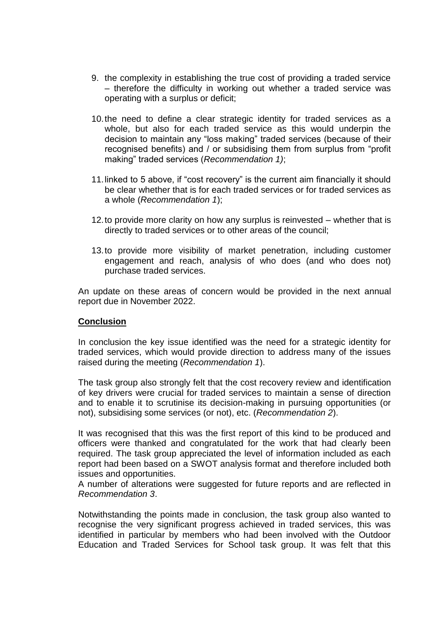- 9. the complexity in establishing the true cost of providing a traded service – therefore the difficulty in working out whether a traded service was operating with a surplus or deficit;
- 10.the need to define a clear strategic identity for traded services as a whole, but also for each traded service as this would underpin the decision to maintain any "loss making" traded services (because of their recognised benefits) and / or subsidising them from surplus from "profit making" traded services (*Recommendation 1)*;
- 11.linked to 5 above, if "cost recovery" is the current aim financially it should be clear whether that is for each traded services or for traded services as a whole (*Recommendation 1*);
- 12.to provide more clarity on how any surplus is reinvested whether that is directly to traded services or to other areas of the council;
- 13.to provide more visibility of market penetration, including customer engagement and reach, analysis of who does (and who does not) purchase traded services.

An update on these areas of concern would be provided in the next annual report due in November 2022.

# **Conclusion**

In conclusion the key issue identified was the need for a strategic identity for traded services, which would provide direction to address many of the issues raised during the meeting (*Recommendation 1*).

The task group also strongly felt that the cost recovery review and identification of key drivers were crucial for traded services to maintain a sense of direction and to enable it to scrutinise its decision-making in pursuing opportunities (or not), subsidising some services (or not), etc. (*Recommendation 2*).

It was recognised that this was the first report of this kind to be produced and officers were thanked and congratulated for the work that had clearly been required. The task group appreciated the level of information included as each report had been based on a SWOT analysis format and therefore included both issues and opportunities.

A number of alterations were suggested for future reports and are reflected in *Recommendation 3*.

Notwithstanding the points made in conclusion, the task group also wanted to recognise the very significant progress achieved in traded services, this was identified in particular by members who had been involved with the Outdoor Education and Traded Services for School task group. It was felt that this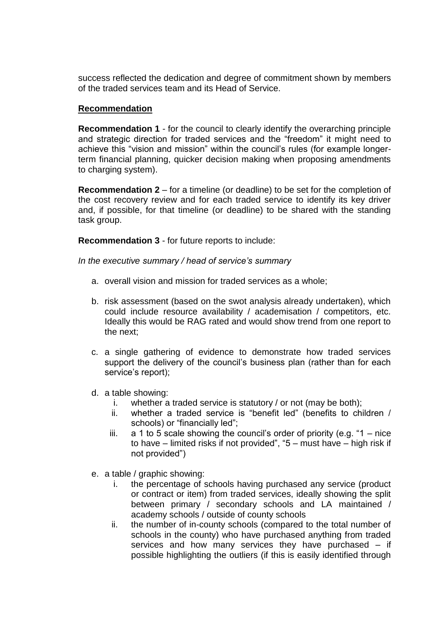success reflected the dedication and degree of commitment shown by members of the traded services team and its Head of Service.

# **Recommendation**

**Recommendation 1** - for the council to clearly identify the overarching principle and strategic direction for traded services and the "freedom" it might need to achieve this "vision and mission" within the council's rules (for example longerterm financial planning, quicker decision making when proposing amendments to charging system).

**Recommendation 2** – for a timeline (or deadline) to be set for the completion of the cost recovery review and for each traded service to identify its key driver and, if possible, for that timeline (or deadline) to be shared with the standing task group.

**Recommendation 3** - for future reports to include:

*In the executive summary / head of service's summary* 

- a. overall vision and mission for traded services as a whole;
- b. risk assessment (based on the swot analysis already undertaken), which could include resource availability / academisation / competitors, etc. Ideally this would be RAG rated and would show trend from one report to the next;
- c. a single gathering of evidence to demonstrate how traded services support the delivery of the council's business plan (rather than for each service's report);
- d. a table showing:
	- i. whether a traded service is statutory / or not (may be both);
	- ii. whether a traded service is "benefit led" (benefits to children / schools) or "financially led";
	- iii.  $a$  1 to 5 scale showing the council's order of priority (e.g. "1 nice to have – limited risks if not provided", "5 – must have – high risk if not provided")
- e. a table / graphic showing:
	- i. the percentage of schools having purchased any service (product or contract or item) from traded services, ideally showing the split between primary / secondary schools and LA maintained / academy schools / outside of county schools
	- ii. the number of in-county schools (compared to the total number of schools in the county) who have purchased anything from traded services and how many services they have purchased – if possible highlighting the outliers (if this is easily identified through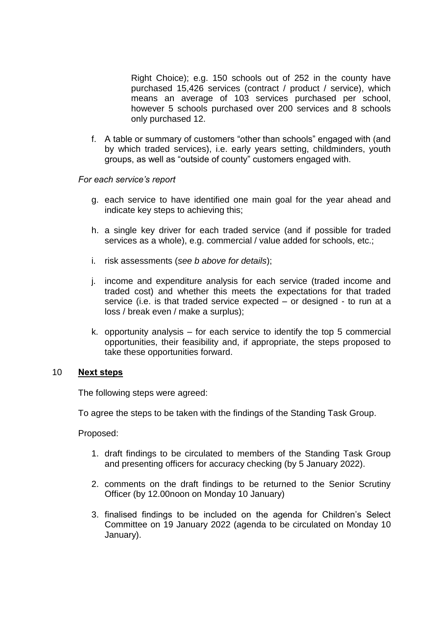Right Choice); e.g. 150 schools out of 252 in the county have purchased 15,426 services (contract / product / service), which means an average of 103 services purchased per school, however 5 schools purchased over 200 services and 8 schools only purchased 12.

f. A table or summary of customers "other than schools" engaged with (and by which traded services), i.e. early years setting, childminders, youth groups, as well as "outside of county" customers engaged with.

# *For each service's report*

- g. each service to have identified one main goal for the year ahead and indicate key steps to achieving this;
- h. a single key driver for each traded service (and if possible for traded services as a whole), e.g. commercial / value added for schools, etc.;
- i. risk assessments (*see b above for details*);
- j. income and expenditure analysis for each service (traded income and traded cost) and whether this meets the expectations for that traded service (i.e. is that traded service expected – or designed - to run at a loss / break even / make a surplus);
- k. opportunity analysis for each service to identify the top 5 commercial opportunities, their feasibility and, if appropriate, the steps proposed to take these opportunities forward.

# 10 **Next steps**

The following steps were agreed:

To agree the steps to be taken with the findings of the Standing Task Group.

Proposed:

- 1. draft findings to be circulated to members of the Standing Task Group and presenting officers for accuracy checking (by 5 January 2022).
- 2. comments on the draft findings to be returned to the Senior Scrutiny Officer (by 12.00noon on Monday 10 January)
- 3. finalised findings to be included on the agenda for Children's Select Committee on 19 January 2022 (agenda to be circulated on Monday 10 January).